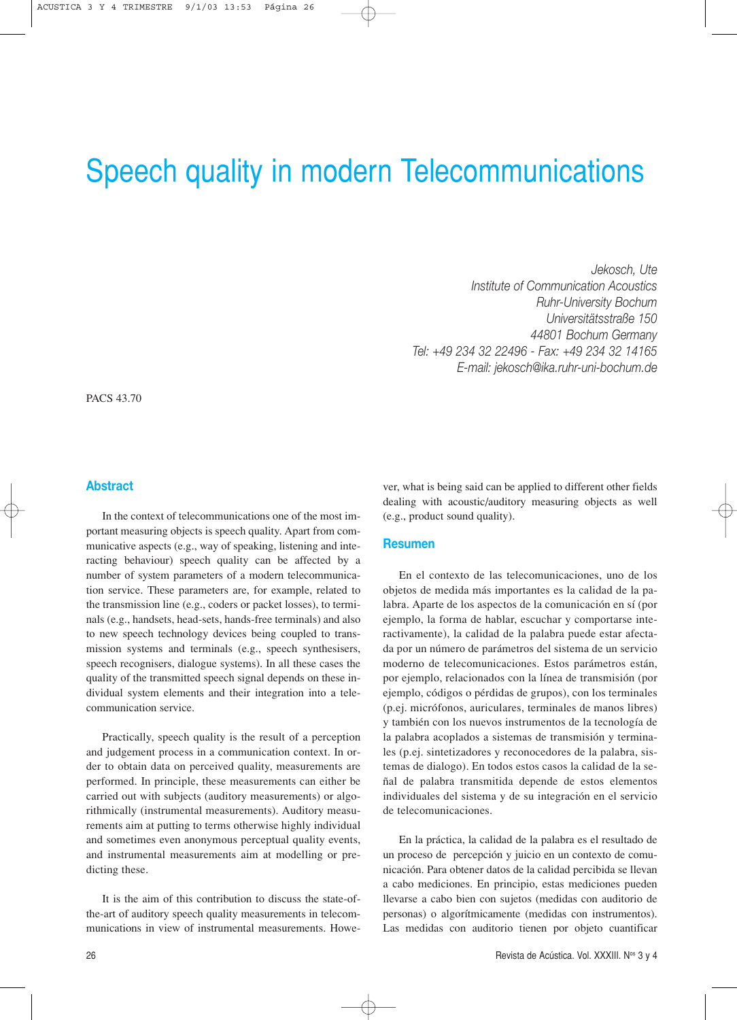# Speech quality in modern Telecommunications

*Jekosch, Ute Institute of Communication Acoustics Ruhr-University Bochum Universitätsstraße 150 44801 Bochum Germany Tel: +49 234 32 22496 - Fax: +49 234 32 14165 E-mail: jekosch@ika.ruhr-uni-bochum.de*

PACS 43.70

# **Abstract**

In the context of telecommunications one of the most important measuring objects is speech quality. Apart from communicative aspects (e.g., way of speaking, listening and interacting behaviour) speech quality can be affected by a number of system parameters of a modern telecommunication service. These parameters are, for example, related to the transmission line (e.g., coders or packet losses), to terminals (e.g., handsets, head-sets, hands-free terminals) and also to new speech technology devices being coupled to transmission systems and terminals (e.g., speech synthesisers, speech recognisers, dialogue systems). In all these cases the quality of the transmitted speech signal depends on these individual system elements and their integration into a telecommunication service.

Practically, speech quality is the result of a perception and judgement process in a communication context. In order to obtain data on perceived quality, measurements are performed. In principle, these measurements can either be carried out with subjects (auditory measurements) or algorithmically (instrumental measurements). Auditory measurements aim at putting to terms otherwise highly individual and sometimes even anonymous perceptual quality events, and instrumental measurements aim at modelling or predicting these.

It is the aim of this contribution to discuss the state-ofthe-art of auditory speech quality measurements in telecommunications in view of instrumental measurements. However, what is being said can be applied to different other fields dealing with acoustic/auditory measuring objects as well (e.g., product sound quality).

# **Resumen**

En el contexto de las telecomunicaciones, uno de los objetos de medida más importantes es la calidad de la palabra. Aparte de los aspectos de la comunicación en sí (por ejemplo, la forma de hablar, escuchar y comportarse interactivamente), la calidad de la palabra puede estar afectada por un número de parámetros del sistema de un servicio moderno de telecomunicaciones. Estos parámetros están, por ejemplo, relacionados con la línea de transmisión (por ejemplo, códigos o pérdidas de grupos), con los terminales (p.ej. micrófonos, auriculares, terminales de manos libres) y también con los nuevos instrumentos de la tecnología de la palabra acoplados a sistemas de transmisión y terminales (p.ej. sintetizadores y reconocedores de la palabra, sistemas de dialogo). En todos estos casos la calidad de la señal de palabra transmitida depende de estos elementos individuales del sistema y de su integración en el servicio de telecomunicaciones.

En la práctica, la calidad de la palabra es el resultado de un proceso de percepción y juicio en un contexto de comunicación. Para obtener datos de la calidad percibida se llevan a cabo mediciones. En principio, estas mediciones pueden llevarse a cabo bien con sujetos (medidas con auditorio de personas) o algorítmicamente (medidas con instrumentos). Las medidas con auditorio tienen por objeto cuantificar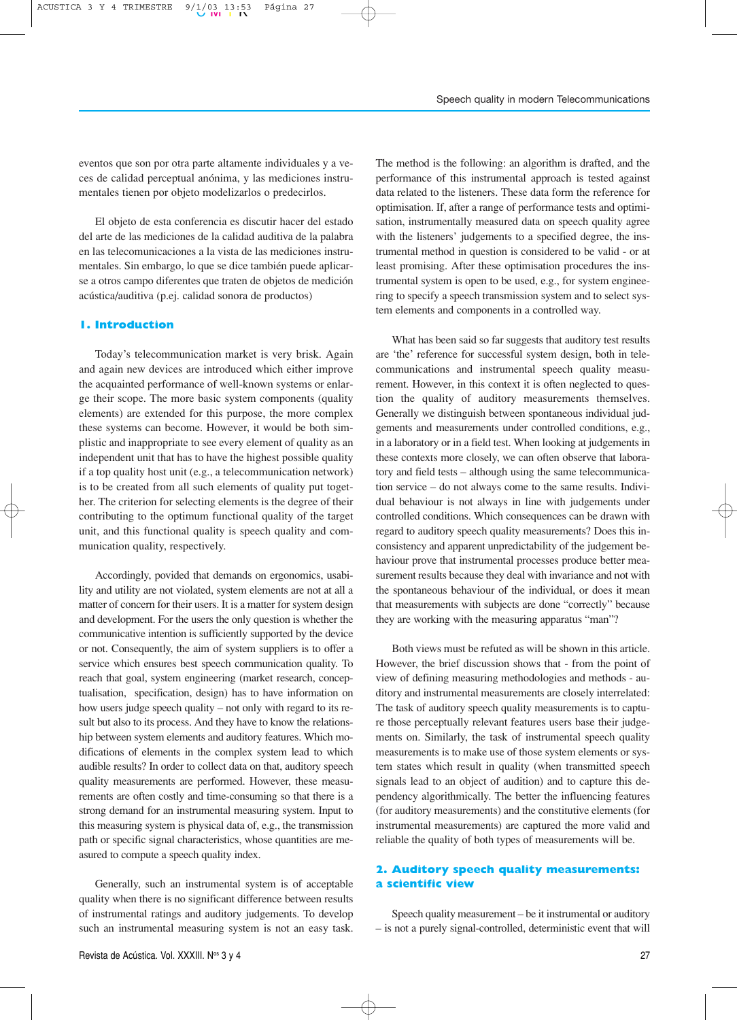eventos que son por otra parte altamente individuales y a veces de calidad perceptual anónima, y las mediciones instrumentales tienen por objeto modelizarlos o predecirlos.

El objeto de esta conferencia es discutir hacer del estado del arte de las mediciones de la calidad auditiva de la palabra en las telecomunicaciones a la vista de las mediciones instrumentales. Sin embargo, lo que se dice también puede aplicarse a otros campo diferentes que traten de objetos de medición acústica/auditiva (p.ej. calidad sonora de productos)

# **1. Introduction**

Today's telecommunication market is very brisk. Again and again new devices are introduced which either improve the acquainted performance of well-known systems or enlarge their scope. The more basic system components (quality elements) are extended for this purpose, the more complex these systems can become. However, it would be both simplistic and inappropriate to see every element of quality as an independent unit that has to have the highest possible quality if a top quality host unit (e.g., a telecommunication network) is to be created from all such elements of quality put together. The criterion for selecting elements is the degree of their contributing to the optimum functional quality of the target unit, and this functional quality is speech quality and communication quality, respectively.

Accordingly, povided that demands on ergonomics, usability and utility are not violated, system elements are not at all a matter of concern for their users. It is a matter for system design and development. For the users the only question is whether the communicative intention is sufficiently supported by the device or not. Consequently, the aim of system suppliers is to offer a service which ensures best speech communication quality. To reach that goal, system engineering (market research, conceptualisation, specification, design) has to have information on how users judge speech quality – not only with regard to its result but also to its process. And they have to know the relationship between system elements and auditory features. Which modifications of elements in the complex system lead to which audible results? In order to collect data on that, auditory speech quality measurements are performed. However, these measurements are often costly and time-consuming so that there is a strong demand for an instrumental measuring system. Input to this measuring system is physical data of, e.g., the transmission path or specific signal characteristics, whose quantities are measured to compute a speech quality index.

Generally, such an instrumental system is of acceptable quality when there is no significant difference between results of instrumental ratings and auditory judgements. To develop such an instrumental measuring system is not an easy task. The method is the following: an algorithm is drafted, and the performance of this instrumental approach is tested against data related to the listeners. These data form the reference for optimisation. If, after a range of performance tests and optimisation, instrumentally measured data on speech quality agree with the listeners' judgements to a specified degree, the instrumental method in question is considered to be valid - or at least promising. After these optimisation procedures the instrumental system is open to be used, e.g., for system engineering to specify a speech transmission system and to select system elements and components in a controlled way.

What has been said so far suggests that auditory test results are 'the' reference for successful system design, both in telecommunications and instrumental speech quality measurement. However, in this context it is often neglected to question the quality of auditory measurements themselves. Generally we distinguish between spontaneous individual judgements and measurements under controlled conditions, e.g., in a laboratory or in a field test. When looking at judgements in these contexts more closely, we can often observe that laboratory and field tests – although using the same telecommunication service – do not always come to the same results. Individual behaviour is not always in line with judgements under controlled conditions. Which consequences can be drawn with regard to auditory speech quality measurements? Does this inconsistency and apparent unpredictability of the judgement behaviour prove that instrumental processes produce better measurement results because they deal with invariance and not with the spontaneous behaviour of the individual, or does it mean that measurements with subjects are done "correctly" because they are working with the measuring apparatus "man"?

Both views must be refuted as will be shown in this article. However, the brief discussion shows that - from the point of view of defining measuring methodologies and methods - auditory and instrumental measurements are closely interrelated: The task of auditory speech quality measurements is to capture those perceptually relevant features users base their judgements on. Similarly, the task of instrumental speech quality measurements is to make use of those system elements or system states which result in quality (when transmitted speech signals lead to an object of audition) and to capture this dependency algorithmically. The better the influencing features (for auditory measurements) and the constitutive elements (for instrumental measurements) are captured the more valid and reliable the quality of both types of measurements will be.

# **2. Auditory speech quality measurements: a scientific view**

Speech quality measurement – be it instrumental or auditory – is not a purely signal-controlled, deterministic event that will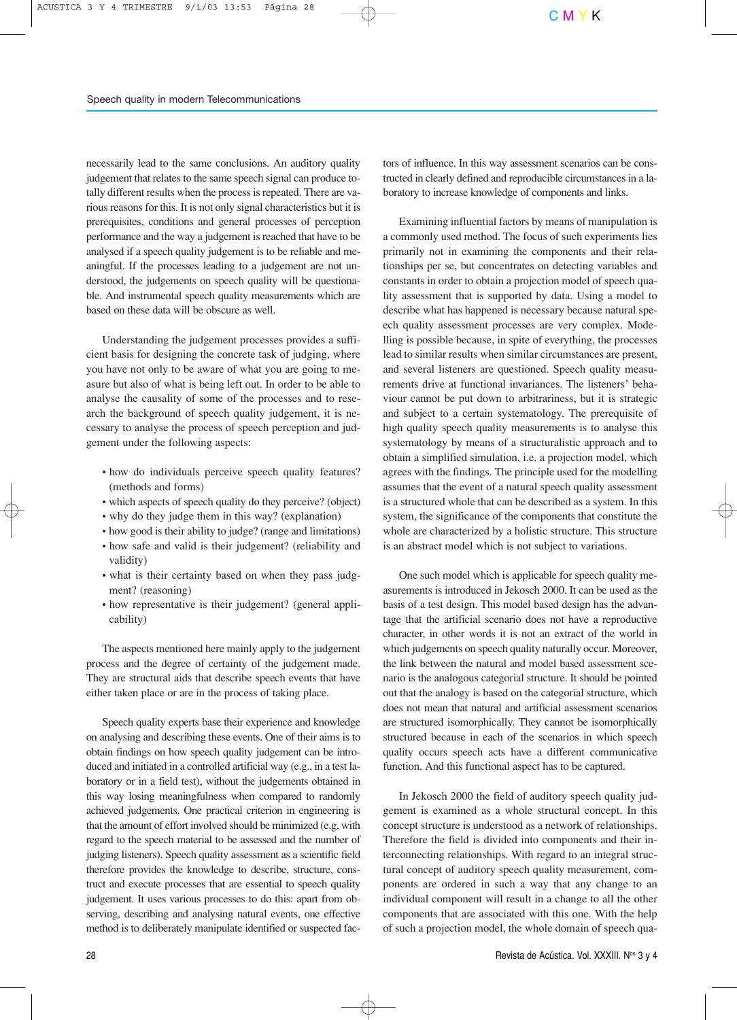necessarily lead to the same conclusions. An auditory quality judgement that relates to the same speech signal can produce totally different results when the process is repeated. There are various reasons for this. It is not only signal characteristics but it is prerequisites, conditions and general processes of perception performance and the way a judgement is reached that have to be analysed if a speech quality judgement is to be reliable and meaningful. If the processes leading to a judgement are not understood, the judgements on speech quality will be questionable. And instrumental speech quality measurements which are based on these data will be obscure as well.

Understanding the judgement processes provides a sufficient basis for designing the concrete task of judging, where you have not only to be aware of what you are going to measure but also of what is being left out. In order to be able to analyse the causality of some of the processes and to research the background of speech quality judgement, it is necessary to analyse the process of speech perception and judgement under the following aspects:

- how do individuals perceive speech quality features? (methods and forms)
- which aspects of speech quality do they perceive? (object)
- why do they judge them in this way? (explanation)
- how good is their ability to judge? (range and limitations)
- how safe and valid is their judgement? (reliability and validity)
- what is their certainty based on when they pass judgment? (reasoning)
- how representative is their judgement? (general applicability)

The aspects mentioned here mainly apply to the judgement process and the degree of certainty of the judgement made. They are structural aids that describe speech events that have either taken place or are in the process of taking place.

Speech quality experts base their experience and knowledge on analysing and describing these events. One of their aims is to obtain findings on how speech quality judgement can be introduced and initiated in a controlled artificial way (e.g., in a test laboratory or in a field test), without the judgements obtained in this way losing meaningfulness when compared to randomly achieved judgements. One practical criterion in engineering is that the amount of effort involved should be minimized (e.g. with regard to the speech material to be assessed and the number of judging listeners). Speech quality assessment as a scientific field therefore provides the knowledge to describe, structure, construct and execute processes that are essential to speech quality judgement. It uses various processes to do this: apart from observing, describing and analysing natural events, one effective method is to deliberately manipulate identified or suspected factors of influence. In this way assessment scenarios can be constructed in clearly defined and reproducible circumstances in a laboratory to increase knowledge of components and links.

Examining influential factors by means of manipulation is a commonly used method. The focus of such experiments lies primarily not in examining the components and their relationships per se, but concentrates on detecting variables and constants in order to obtain a projection model of speech quality assessment that is supported by data. Using a model to describe what has happened is necessary because natural speech quality assessment processes are very complex. Modelling is possible because, in spite of everything, the processes lead to similar results when similar circumstances are present, and several listeners are questioned. Speech quality measurements drive at functional invariances. The listeners' behaviour cannot be put down to arbitrariness, but it is strategic and subject to a certain systematology. The prerequisite of high quality speech quality measurements is to analyse this systematology by means of a structuralistic approach and to obtain a simplified simulation, i.e. a projection model, which agrees with the findings. The principle used for the modelling assumes that the event of a natural speech quality assessment is a structured whole that can be described as a system. In this system, the significance of the components that constitute the whole are characterized by a holistic structure. This structure is an abstract model which is not subject to variations.

One such model which is applicable for speech quality measurements is introduced in Jekosch 2000. It can be used as the basis of a test design. This model based design has the advantage that the artificial scenario does not have a reproductive character, in other words it is not an extract of the world in which judgements on speech quality naturally occur. Moreover, the link between the natural and model based assessment scenario is the analogous categorial structure. It should be pointed out that the analogy is based on the categorial structure, which does not mean that natural and artificial assessment scenarios are structured isomorphically. They cannot be isomorphically structured because in each of the scenarios in which speech quality occurs speech acts have a different communicative function. And this functional aspect has to be captured.

In Jekosch 2000 the field of auditory speech quality judgement is examined as a whole structural concept. In this concept structure is understood as a network of relationships. Therefore the field is divided into components and their interconnecting relationships. With regard to an integral structural concept of auditory speech quality measurement, components are ordered in such a way that any change to an individual component will result in a change to all the other components that are associated with this one. With the help of such a projection model, the whole domain of speech qua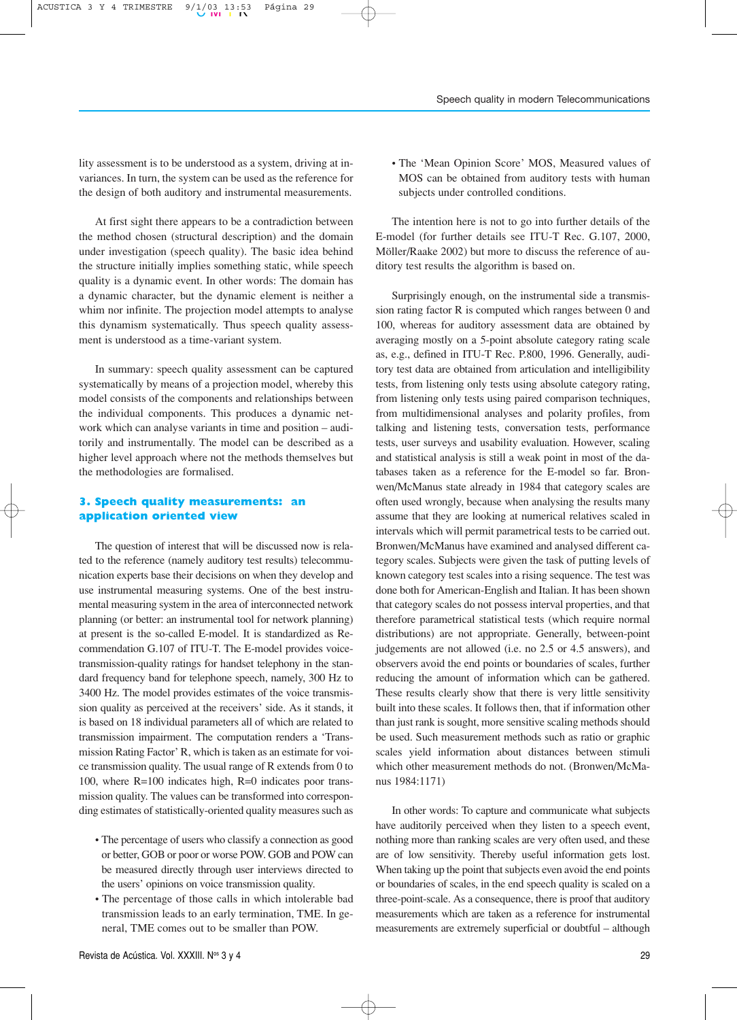lity assessment is to be understood as a system, driving at invariances. In turn, the system can be used as the reference for the design of both auditory and instrumental measurements.

At first sight there appears to be a contradiction between the method chosen (structural description) and the domain under investigation (speech quality). The basic idea behind the structure initially implies something static, while speech quality is a dynamic event. In other words: The domain has a dynamic character, but the dynamic element is neither a whim nor infinite. The projection model attempts to analyse this dynamism systematically. Thus speech quality assessment is understood as a time-variant system.

In summary: speech quality assessment can be captured systematically by means of a projection model, whereby this model consists of the components and relationships between the individual components. This produces a dynamic network which can analyse variants in time and position – auditorily and instrumentally. The model can be described as a higher level approach where not the methods themselves but the methodologies are formalised.

# **3. Speech quality measurements: an application oriented view**

The question of interest that will be discussed now is related to the reference (namely auditory test results) telecommunication experts base their decisions on when they develop and use instrumental measuring systems. One of the best instrumental measuring system in the area of interconnected network planning (or better: an instrumental tool for network planning) at present is the so-called E-model. It is standardized as Recommendation G.107 of ITU-T. The E-model provides voicetransmission-quality ratings for handset telephony in the standard frequency band for telephone speech, namely, 300 Hz to 3400 Hz. The model provides estimates of the voice transmission quality as perceived at the receivers' side. As it stands, it is based on 18 individual parameters all of which are related to transmission impairment. The computation renders a 'Transmission Rating Factor' R, which is taken as an estimate for voice transmission quality. The usual range of R extends from 0 to 100, where R=100 indicates high, R=0 indicates poor transmission quality. The values can be transformed into corresponding estimates of statistically-oriented quality measures such as

- The percentage of users who classify a connection as good or better, GOB or poor or worse POW. GOB and POW can be measured directly through user interviews directed to the users' opinions on voice transmission quality.
- The percentage of those calls in which intolerable bad transmission leads to an early termination, TME. In general, TME comes out to be smaller than POW.

• The 'Mean Opinion Score' MOS, Measured values of MOS can be obtained from auditory tests with human subjects under controlled conditions.

The intention here is not to go into further details of the E-model (for further details see ITU-T Rec. G.107, 2000, Möller/Raake 2002) but more to discuss the reference of auditory test results the algorithm is based on.

Surprisingly enough, on the instrumental side a transmission rating factor R is computed which ranges between 0 and 100, whereas for auditory assessment data are obtained by averaging mostly on a 5-point absolute category rating scale as, e.g., defined in ITU-T Rec. P.800, 1996. Generally, auditory test data are obtained from articulation and intelligibility tests, from listening only tests using absolute category rating, from listening only tests using paired comparison techniques, from multidimensional analyses and polarity profiles, from talking and listening tests, conversation tests, performance tests, user surveys and usability evaluation. However, scaling and statistical analysis is still a weak point in most of the databases taken as a reference for the E-model so far. Bronwen/McManus state already in 1984 that category scales are often used wrongly, because when analysing the results many assume that they are looking at numerical relatives scaled in intervals which will permit parametrical tests to be carried out. Bronwen/McManus have examined and analysed different category scales. Subjects were given the task of putting levels of known category test scales into a rising sequence. The test was done both for American-English and Italian. It has been shown that category scales do not possess interval properties, and that therefore parametrical statistical tests (which require normal distributions) are not appropriate. Generally, between-point judgements are not allowed (i.e. no 2.5 or 4.5 answers), and observers avoid the end points or boundaries of scales, further reducing the amount of information which can be gathered. These results clearly show that there is very little sensitivity built into these scales. It follows then, that if information other than just rank is sought, more sensitive scaling methods should be used. Such measurement methods such as ratio or graphic scales yield information about distances between stimuli which other measurement methods do not. (Bronwen/McManus 1984:1171)

In other words: To capture and communicate what subjects have auditorily perceived when they listen to a speech event, nothing more than ranking scales are very often used, and these are of low sensitivity. Thereby useful information gets lost. When taking up the point that subjects even avoid the end points or boundaries of scales, in the end speech quality is scaled on a three-point-scale. As a consequence, there is proof that auditory measurements which are taken as a reference for instrumental measurements are extremely superficial or doubtful – although